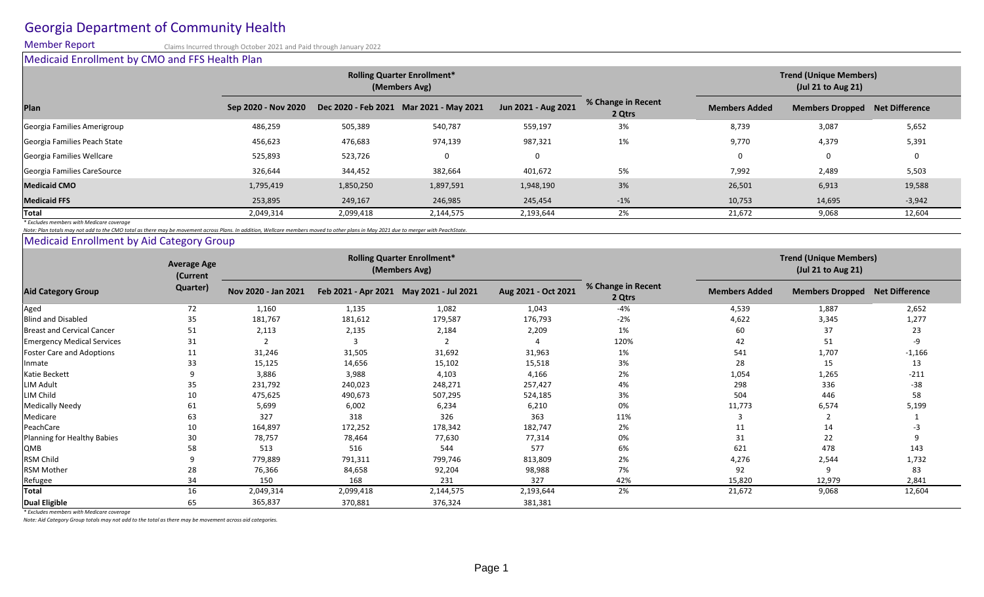# Georgia Department of Community Health

Member Report Claims Incurred through October 2021 and Paid through January 2022 Medicaid Enrollment by CMO and FFS Health Plan

|                                           |                     |           | <b>Rolling Quarter Enrollment*</b><br>(Members Avg) |                     | <b>Trend (Unique Members)</b><br>$($ Jul 21 to Aug 21) |                      |                                       |          |  |  |
|-------------------------------------------|---------------------|-----------|-----------------------------------------------------|---------------------|--------------------------------------------------------|----------------------|---------------------------------------|----------|--|--|
| Plan                                      | Sep 2020 - Nov 2020 |           | Dec 2020 - Feb 2021 Mar 2021 - May 2021             | Jun 2021 - Aug 2021 | % Change in Recent<br>2 Qtrs                           | <b>Members Added</b> | <b>Members Dropped Net Difference</b> |          |  |  |
| Georgia Families Amerigroup               | 486,259             | 505,389   | 540,787                                             | 559,197             | 3%                                                     | 8,739                | 3,087                                 | 5,652    |  |  |
| Georgia Families Peach State              | 456,623             | 476,683   | 974,139                                             | 987,321             | 1%                                                     | 9,770                | 4,379                                 | 5,391    |  |  |
| Georgia Families Wellcare                 | 525,893             | 523,726   | $\mathbf{0}$                                        | 0                   |                                                        |                      | 0                                     |          |  |  |
| Georgia Families CareSource               | 326,644             | 344,452   | 382,664                                             | 401,672             | 5%                                                     | 7,992                | 2,489                                 | 5,503    |  |  |
| <b>Medicaid CMO</b>                       | 1,795,419           | 1,850,250 | 1,897,591                                           | 1,948,190           | 3%                                                     | 26,501               | 6,913                                 | 19,588   |  |  |
| <b>Medicaid FFS</b>                       | 253,895             | 249,167   | 246,985                                             | 245,454             | $-1%$                                                  | 10,753               | 14,695                                | $-3,942$ |  |  |
| Total                                     | 2,049,314           | 2,099,418 | 2,144,575                                           | 2,193,644           | 2%                                                     | 21,672               | 9,068                                 | 12,604   |  |  |
| * Excludes members with Medicare coverage |                     |           |                                                     |                     |                                                        |                      |                                       |          |  |  |

*Note: Plan totals may not add to the CMO total as there may be movement across Plans. In addition, Wellcare members moved to other plans in May 2021 due to merger with PeachState.*

Medicaid Enrollment by Aid Category Group

| <b>Aid Category Group</b>         | <b>Average Age</b><br>(Current<br>Quarter) | <b>Rolling Quarter Enrollment*</b><br>(Members Avg) |           |                                         |                     |                              | <b>Trend (Unique Members)</b><br>(Jul 21 to Aug 21) |                        |                |
|-----------------------------------|--------------------------------------------|-----------------------------------------------------|-----------|-----------------------------------------|---------------------|------------------------------|-----------------------------------------------------|------------------------|----------------|
|                                   |                                            | Nov 2020 - Jan 2021                                 |           | Feb 2021 - Apr 2021 May 2021 - Jul 2021 | Aug 2021 - Oct 2021 | % Change in Recent<br>2 Qtrs | <b>Members Added</b>                                | <b>Members Dropped</b> | Net Difference |
| Aged                              | 72                                         | 1,160                                               | 1,135     | 1,082                                   | 1,043               | $-4%$                        | 4,539                                               | 1,887                  | 2,652          |
| <b>Blind and Disabled</b>         | 35                                         | 181,767                                             | 181,612   | 179,587                                 | 176,793             | $-2%$                        | 4,622                                               | 3,345                  | 1,277          |
| Breast and Cervical Cancer        | 51                                         | 2,113                                               | 2,135     | 2,184                                   | 2,209               | 1%                           | 60                                                  | 37                     | 23             |
| <b>Emergency Medical Services</b> | 31                                         |                                                     |           |                                         |                     | 120%                         | 42                                                  | 51                     | -9             |
| <b>Foster Care and Adoptions</b>  | 11                                         | 31,246                                              | 31,505    | 31,692                                  | 31,963              | 1%                           | 541                                                 | 1,707                  | $-1,166$       |
| Inmate                            | 33                                         | 15,125                                              | 14,656    | 15,102                                  | 15,518              | 3%                           | 28                                                  | 15                     | 13             |
| Katie Beckett                     |                                            | 3,886                                               | 3,988     | 4,103                                   | 4,166               | 2%                           | 1,054                                               | 1,265                  | $-211$         |
| <b>LIM Adult</b>                  | 35                                         | 231,792                                             | 240,023   | 248,271                                 | 257,427             | 4%                           | 298                                                 | 336                    | $-38$          |
| LIM Child                         | 10                                         | 475,625                                             | 490,673   | 507,295                                 | 524,185             | 3%                           | 504                                                 | 446                    | 58             |
| <b>Medically Needy</b>            | 61                                         | 5,699                                               | 6,002     | 6,234                                   | 6,210               | 0%                           | 11,773                                              | 6,574                  | 5,199          |
| Medicare                          | 63                                         | 327                                                 | 318       | 326                                     | 363                 | 11%                          |                                                     |                        |                |
| PeachCare                         | 10                                         | 164,897                                             | 172,252   | 178,342                                 | 182,747             | 2%                           | 11                                                  | 14                     |                |
| Planning for Healthy Babies       | 30                                         | 78,757                                              | 78,464    | 77,630                                  | 77,314              | 0%                           | 31                                                  | 22                     |                |
| QMB                               | 58                                         | 513                                                 | 516       | 544                                     | 577                 | 6%                           | 621                                                 | 478                    | 143            |
| <b>RSM Child</b>                  |                                            | 779,889                                             | 791,311   | 799,746                                 | 813,809             | 2%                           | 4,276                                               | 2,544                  | 1,732          |
| <b>RSM Mother</b>                 | 28                                         | 76,366                                              | 84,658    | 92,204                                  | 98,988              | 7%                           | 92                                                  | q                      | 83             |
| Refugee                           | 34                                         | 150                                                 | 168       | 231                                     | 327                 | 42%                          | 15,820                                              | 12,979                 | 2,841          |
| Total                             | 16                                         | 2,049,314                                           | 2,099,418 | 2,144,575                               | 2,193,644           | 2%                           | 21,672                                              | 9,068                  | 12,604         |
| <b>Dual Eligible</b>              | 65                                         | 365,837                                             | 370,881   | 376,324                                 | 381,381             |                              |                                                     |                        |                |

*\* Excludes members with Medicare coverage*

*Note: Aid Category Group totals may not add to the total as there may be movement across aid categories.*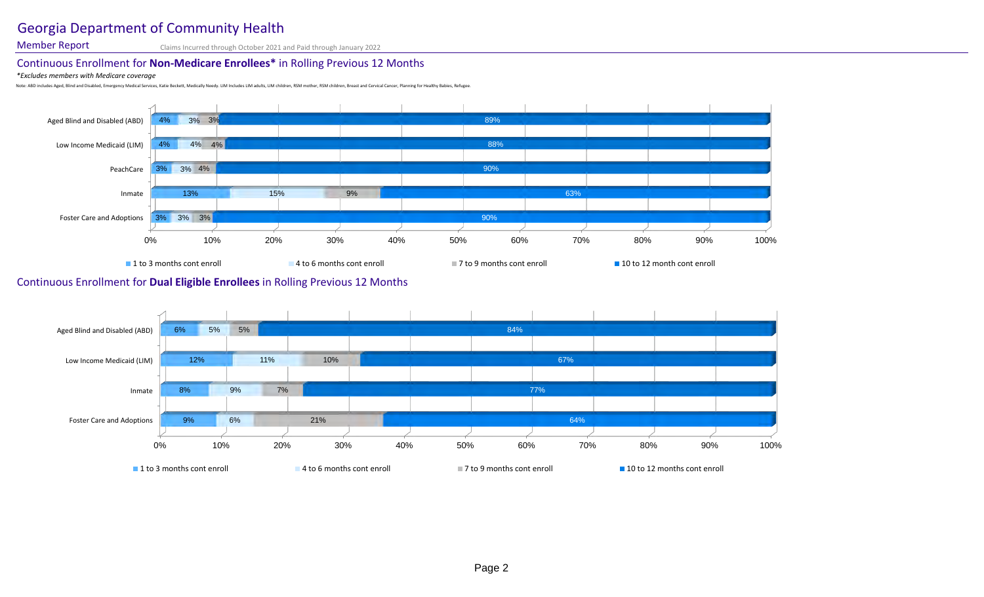## Georgia Department of Community Health

Member Report Claims Incurred through October 2021 and Paid through January 2022

## Continuous Enrollment for **Non-Medicare Enrollees\*** in Rolling Previous 12 Months

#### *\*Excludes members with Medicare coverage*

Note: ABD includes Aged, Blind and Disabled, Emergency Medical Services, Katie Beckett, Medically Needy. LIM Includes LIM adults, LIM children, RSM mother, RSM children, Breast and Cervical Cancer, Planning for Healthy Bab



### Continuous Enrollment for **Dual Eligible Enrollees** in Rolling Previous 12 Months